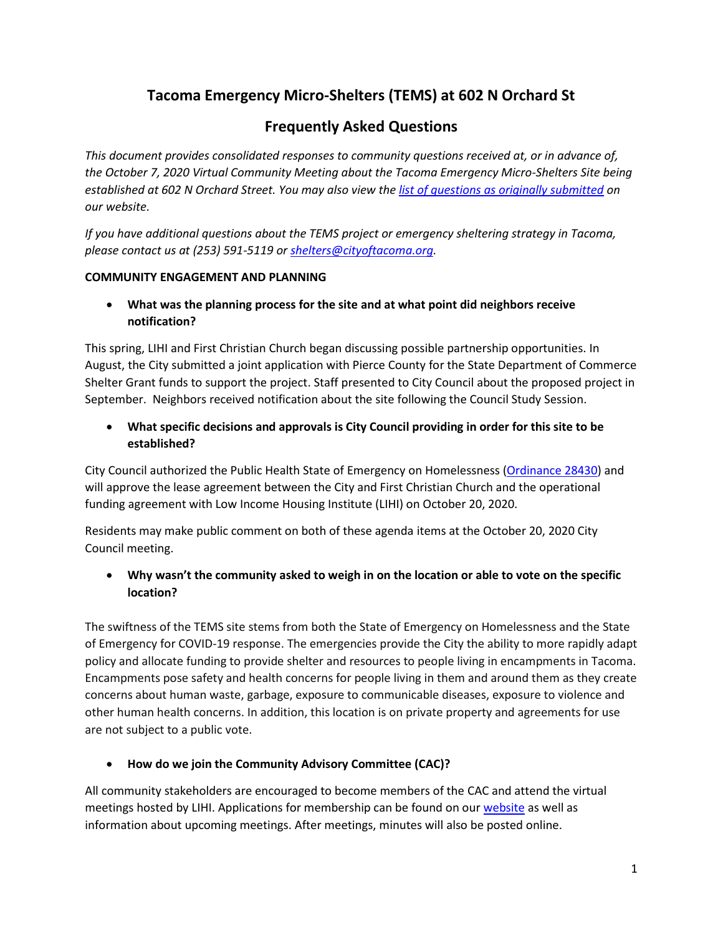# **Tacoma Emergency Micro-Shelters (TEMS) at 602 N Orchard St**

# **Frequently Asked Questions**

*This document provides consolidated responses to community questions received at, or in advance of, the October 7, 2020 Virtual Community Meeting about the Tacoma Emergency Micro-Shelters Site being established at 602 N Orchard Street. You may also view the [list of questions as originally submitted](https://www.cityoftacoma.org/UserFiles/Servers/Server_6/File/cms/NCS/City%20Authorized%20Emergency%20Shelter%20Sites/AttendeeQuestions-TEMS3-2020-10-13.pdf) on our website.*

*If you have additional questions about the TEMS project or emergency sheltering strategy in Tacoma, please contact us at (253) 591-5119 or [shelters@cityoftacoma.org.](mailto:shelters@cityoftacoma.org)*

#### **COMMUNITY ENGAGEMENT AND PLANNING**

 **What was the planning process for the site and at what point did neighbors receive notification?**

This spring, LIHI and First Christian Church began discussing possible partnership opportunities. In August, the City submitted a joint application with Pierce County for the State Department of Commerce Shelter Grant funds to support the project. Staff presented to City Council about the proposed project in September. Neighbors received notification about the site following the Council Study Session.

 **What specific decisions and approvals is City Council providing in order for this site to be established?** 

City Council authorized the Public Health State of Emergency on Homelessness [\(Ordinance 28430\)](https://cityoftacoma.org/UserFiles/Servers/Server_6/File/cms/NCS/HomelessnessPresentations/ORD28430.pdf) and will approve the lease agreement between the City and First Christian Church and the operational funding agreement with Low Income Housing Institute (LIHI) on October 20, 2020.

Residents may make public comment on both of these agenda items at the October 20, 2020 City Council meeting.

## **Why wasn't the community asked to weigh in on the location or able to vote on the specific location?**

The swiftness of the TEMS site stems from both the State of Emergency on Homelessness and the State of Emergency for COVID-19 response. The emergencies provide the City the ability to more rapidly adapt policy and allocate funding to provide shelter and resources to people living in encampments in Tacoma. Encampments pose safety and health concerns for people living in them and around them as they create concerns about human waste, garbage, exposure to communicable diseases, exposure to violence and other human health concerns. In addition, this location is on private property and agreements for use are not subject to a public vote.

#### **How do we join the Community Advisory Committee (CAC)?**

All community stakeholders are encouraged to become members of the CAC and attend the virtual meetings hosted by LIHI. Applications for membership can be found on our [website](https://www.cityoftacoma.org/UserFiles/Servers/Server_6/File/cms/NCS/City%20Authorized%20Emergency%20Shelter%20Sites/CACApplication-602NOrchard-2020-10-02.pdf) as well as information about upcoming meetings. After meetings, minutes will also be posted online.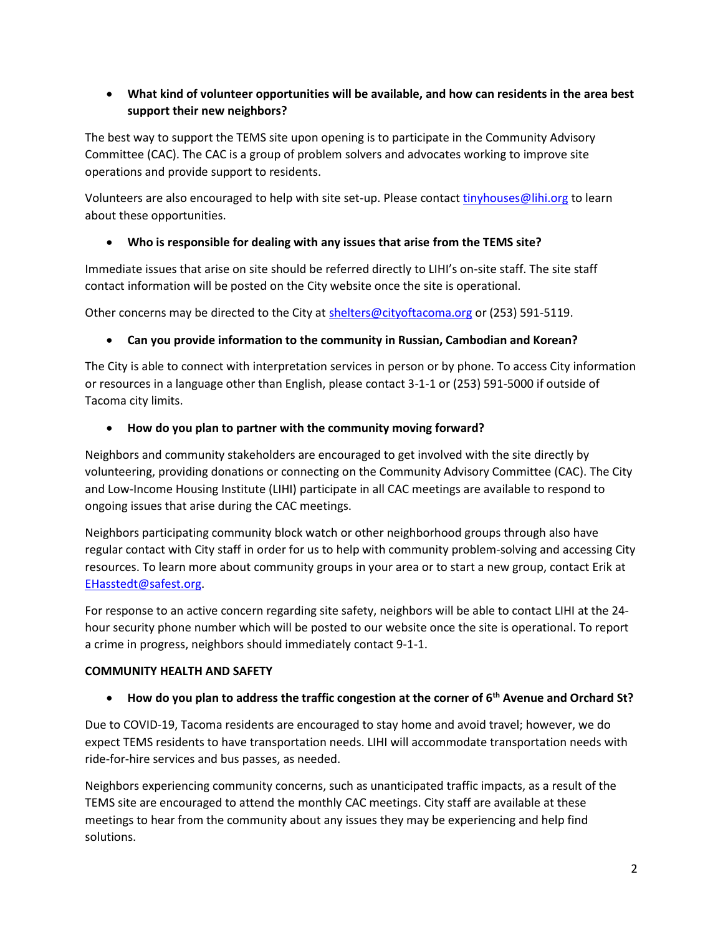## **What kind of volunteer opportunities will be available, and how can residents in the area best support their new neighbors?**

The best way to support the TEMS site upon opening is to participate in the Community Advisory Committee (CAC). The CAC is a group of problem solvers and advocates working to improve site operations and provide support to residents.

Volunteers are also encouraged to help with site set-up. Please contact [tinyhouses@lihi.org](mailto:tinyhouses@lihi.org) to learn about these opportunities.

## **Who is responsible for dealing with any issues that arise from the TEMS site?**

Immediate issues that arise on site should be referred directly to LIHI's on-site staff. The site staff contact information will be posted on the City website once the site is operational.

Other concerns may be directed to the City a[t shelters@cityoftacoma.org](mailto:shelters@cityoftacoma.org) or (253) 591-5119.

## **Can you provide information to the community in Russian, Cambodian and Korean?**

The City is able to connect with interpretation services in person or by phone. To access City information or resources in a language other than English, please contact 3-1-1 or (253) 591-5000 if outside of Tacoma city limits.

## **How do you plan to partner with the community moving forward?**

Neighbors and community stakeholders are encouraged to get involved with the site directly by volunteering, providing donations or connecting on the Community Advisory Committee (CAC). The City and Low-Income Housing Institute (LIHI) participate in all CAC meetings are available to respond to ongoing issues that arise during the CAC meetings.

Neighbors participating community block watch or other neighborhood groups through also have regular contact with City staff in order for us to help with community problem-solving and accessing City resources. To learn more about community groups in your area or to start a new group, contact Erik at [EHasstedt@safest.org.](mailto:EHasstedt@safest.org)

For response to an active concern regarding site safety, neighbors will be able to contact LIHI at the 24 hour security phone number which will be posted to our website once the site is operational. To report a crime in progress, neighbors should immediately contact 9-1-1.

#### **COMMUNITY HEALTH AND SAFETY**

#### **How do you plan to address the traffic congestion at the corner of 6th Avenue and Orchard St?**

Due to COVID-19, Tacoma residents are encouraged to stay home and avoid travel; however, we do expect TEMS residents to have transportation needs. LIHI will accommodate transportation needs with ride-for-hire services and bus passes, as needed.

Neighbors experiencing community concerns, such as unanticipated traffic impacts, as a result of the TEMS site are encouraged to attend the monthly CAC meetings. City staff are available at these meetings to hear from the community about any issues they may be experiencing and help find solutions.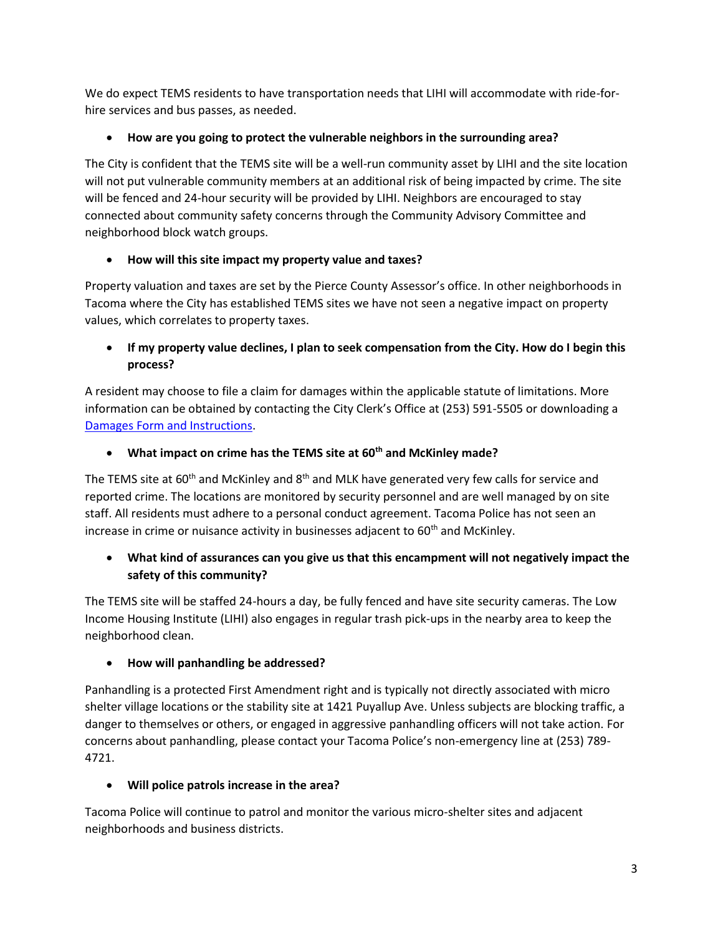We do expect TEMS residents to have transportation needs that LIHI will accommodate with ride-forhire services and bus passes, as needed.

# **How are you going to protect the vulnerable neighbors in the surrounding area?**

The City is confident that the TEMS site will be a well-run community asset by LIHI and the site location will not put vulnerable community members at an additional risk of being impacted by crime. The site will be fenced and 24-hour security will be provided by LIHI. Neighbors are encouraged to stay connected about community safety concerns through the Community Advisory Committee and neighborhood block watch groups.

## **How will this site impact my property value and taxes?**

Property valuation and taxes are set by the Pierce County Assessor's office. In other neighborhoods in Tacoma where the City has established TEMS sites we have not seen a negative impact on property values, which correlates to property taxes.

 **If my property value declines, I plan to seek compensation from the City. How do I begin this process?**

A resident may choose to file a claim for damages within the applicable statute of limitations. More information can be obtained by contacting the City Clerk's Office at (253) 591-5505 or downloading a [Damages Form and Instructions.](https://cms.cityoftacoma.org/cityclerk/Files/ClerkForms/ClaimDamage_FillIn.pdf)

**What impact on crime has the TEMS site at 60th and McKinley made?**

The TEMS site at 60<sup>th</sup> and McKinley and 8<sup>th</sup> and MLK have generated very few calls for service and reported crime. The locations are monitored by security personnel and are well managed by on site staff. All residents must adhere to a personal conduct agreement. Tacoma Police has not seen an increase in crime or nuisance activity in businesses adjacent to  $60<sup>th</sup>$  and McKinley.

 **What kind of assurances can you give us that this encampment will not negatively impact the safety of this community?**

The TEMS site will be staffed 24-hours a day, be fully fenced and have site security cameras. The Low Income Housing Institute (LIHI) also engages in regular trash pick-ups in the nearby area to keep the neighborhood clean.

# **How will panhandling be addressed?**

Panhandling is a protected First Amendment right and is typically not directly associated with micro shelter village locations or the stability site at 1421 Puyallup Ave. Unless subjects are blocking traffic, a danger to themselves or others, or engaged in aggressive panhandling officers will not take action. For concerns about panhandling, please contact your Tacoma Police's non-emergency line at (253) 789- 4721.

#### **Will police patrols increase in the area?**

Tacoma Police will continue to patrol and monitor the various micro-shelter sites and adjacent neighborhoods and business districts.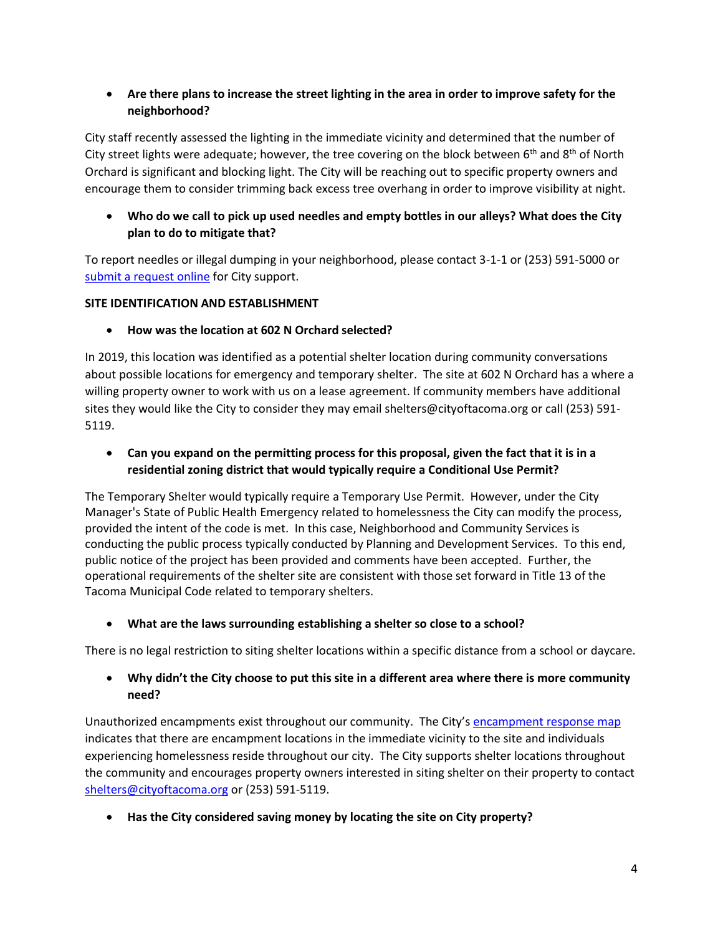# **Are there plans to increase the street lighting in the area in order to improve safety for the neighborhood?**

City staff recently assessed the lighting in the immediate vicinity and determined that the number of City street lights were adequate; however, the tree covering on the block between  $6<sup>th</sup>$  and  $8<sup>th</sup>$  of North Orchard is significant and blocking light. The City will be reaching out to specific property owners and encourage them to consider trimming back excess tree overhang in order to improve visibility at night.

## **Who do we call to pick up used needles and empty bottles in our alleys? What does the City plan to do to mitigate that?**

To report needles or illegal dumping in your neighborhood, please contact 3-1-1 or (253) 591-5000 or [submit a request online](https://cityoftacoma.org/cms/one.aspx?pageId=17887) for City support.

#### **SITE IDENTIFICATION AND ESTABLISHMENT**

## **How was the location at 602 N Orchard selected?**

In 2019, this location was identified as a potential shelter location during community conversations about possible locations for emergency and temporary shelter. The site at 602 N Orchard has a where a willing property owner to work with us on a lease agreement. If community members have additional sites they would like the City to consider they may email shelters@cityoftacoma.org or call (253) 591- 5119.

 **Can you expand on the permitting process for this proposal, given the fact that it is in a residential zoning district that would typically require a Conditional Use Permit?**

The Temporary Shelter would typically require a Temporary Use Permit. However, under the City Manager's State of Public Health Emergency related to homelessness the City can modify the process, provided the intent of the code is met. In this case, Neighborhood and Community Services is conducting the public process typically conducted by Planning and Development Services. To this end, public notice of the project has been provided and comments have been accepted. Further, the operational requirements of the shelter site are consistent with those set forward in Title 13 of the Tacoma Municipal Code related to temporary shelters.

# **What are the laws surrounding establishing a shelter so close to a school?**

There is no legal restriction to siting shelter locations within a specific distance from a school or daycare.

## **Why didn't the City choose to put this site in a different area where there is more community need?**

Unauthorized encampments exist throughout our community. The City's [encampment response map](https://www.cityoftacoma.org/government/city_departments/neighborhood_and_community_services/homelessness_services/encampment_cleanups_and_site_reclamation/encampment_response_map) indicates that there are encampment locations in the immediate vicinity to the site and individuals experiencing homelessness reside throughout our city. The City supports shelter locations throughout the community and encourages property owners interested in siting shelter on their property to contact [shelters@cityoftacoma.org](mailto:shelters@cityoftacoma.org) or (253) 591-5119.

**Has the City considered saving money by locating the site on City property?**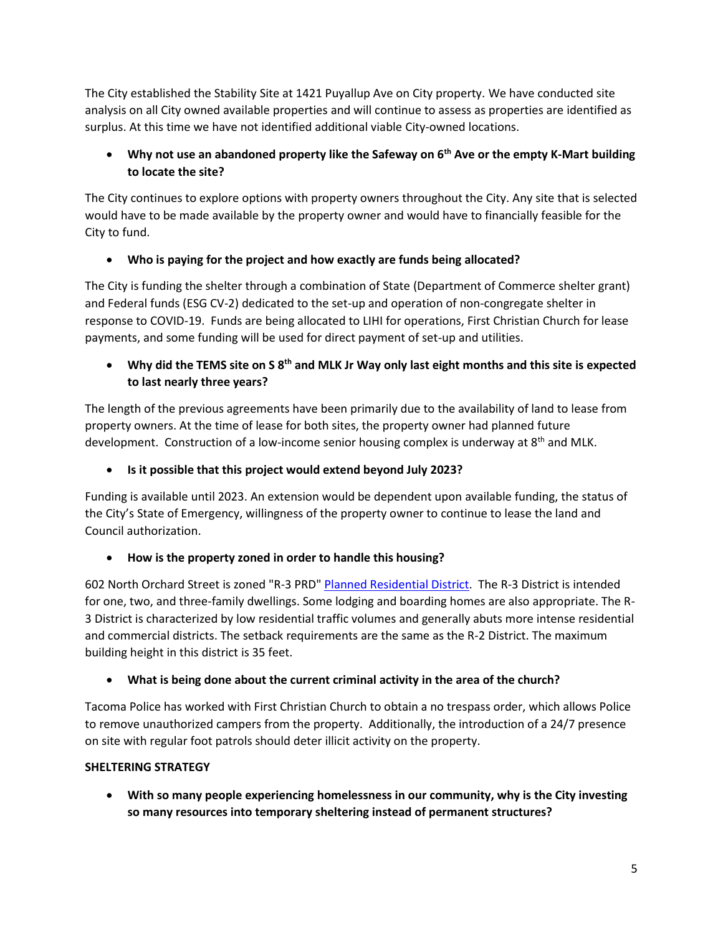The City established the Stability Site at 1421 Puyallup Ave on City property. We have conducted site analysis on all City owned available properties and will continue to assess as properties are identified as surplus. At this time we have not identified additional viable City-owned locations.

# **Why not use an abandoned property like the Safeway on 6th Ave or the empty K-Mart building to locate the site?**

The City continues to explore options with property owners throughout the City. Any site that is selected would have to be made available by the property owner and would have to financially feasible for the City to fund.

# **Who is paying for the project and how exactly are funds being allocated?**

The City is funding the shelter through a combination of State (Department of Commerce shelter grant) and Federal funds (ESG CV-2) dedicated to the set-up and operation of non-congregate shelter in response to COVID-19. Funds are being allocated to LIHI for operations, First Christian Church for lease payments, and some funding will be used for direct payment of set-up and utilities.

# **Why did the TEMS site on S 8th and MLK Jr Way only last eight months and this site is expected to last nearly three years?**

The length of the previous agreements have been primarily due to the availability of land to lease from property owners. At the time of lease for both sites, the property owner had planned future development. Construction of a low-income senior housing complex is underway at  $8<sup>th</sup>$  and MLK.

# **Is it possible that this project would extend beyond July 2023?**

Funding is available until 2023. An extension would be dependent upon available funding, the status of the City's State of Emergency, willingness of the property owner to continue to lease the land and Council authorization.

# **How is the property zoned in order to handle this housing?**

602 North Orchard Street is zoned "R-3 PRD" [Planned Residential District.](https://cms.cityoftacoma.org/Planning/Zoning%20Reference%20Guide%202016.pdf) The R-3 District is intended for one, two, and three-family dwellings. Some lodging and boarding homes are also appropriate. The R-3 District is characterized by low residential traffic volumes and generally abuts more intense residential and commercial districts. The setback requirements are the same as the R-2 District. The maximum building height in this district is 35 feet.

# **What is being done about the current criminal activity in the area of the church?**

Tacoma Police has worked with First Christian Church to obtain a no trespass order, which allows Police to remove unauthorized campers from the property. Additionally, the introduction of a 24/7 presence on site with regular foot patrols should deter illicit activity on the property.

# **SHELTERING STRATEGY**

 **With so many people experiencing homelessness in our community, why is the City investing so many resources into temporary sheltering instead of permanent structures?**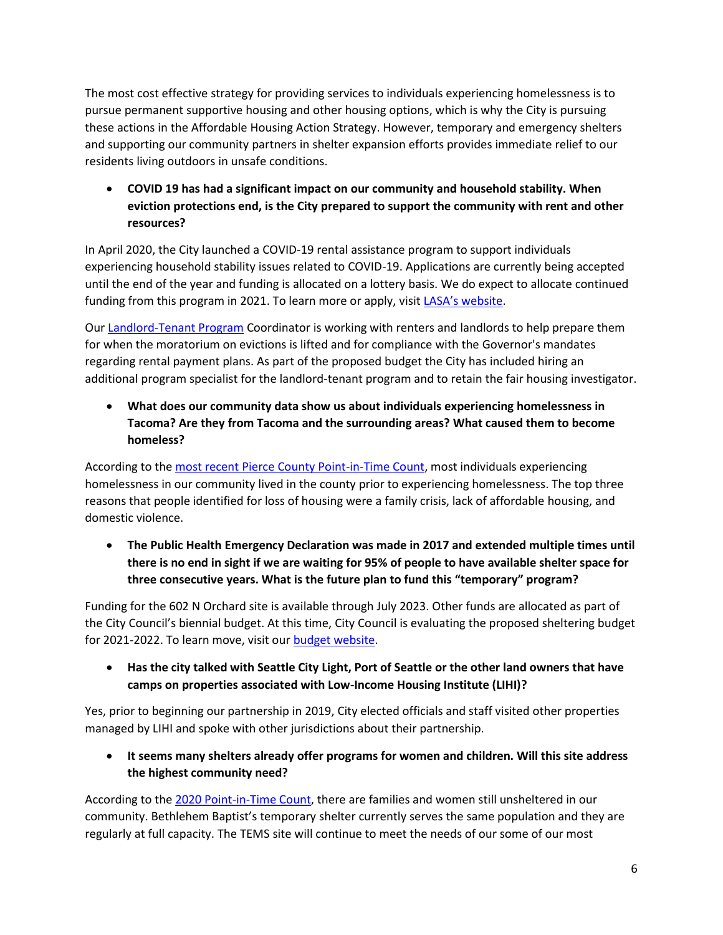The most cost effective strategy for providing services to individuals experiencing homelessness is to pursue permanent supportive housing and other housing options, which is why the City is pursuing these actions in the Affordable Housing Action Strategy. However, temporary and emergency shelters and supporting our community partners in shelter expansion efforts provides immediate relief to our residents living outdoors in unsafe conditions.

 **COVID 19 has had a significant impact on our community and household stability. When eviction protections end, is the City prepared to support the community with rent and other resources?** 

In April 2020, the City launched a COVID-19 rental assistance program to support individuals experiencing household stability issues related to COVID-19. Applications are currently being accepted until the end of the year and funding is allocated on a lottery basis. We do expect to allocate continued funding from this program in 2021. To learn more or apply, visit [LASA's website](https://lasapierce.org/covid-19-tacoma-rent).

Our [Landlord-Tenant Program](https://www.cityoftacoma.org/cms/one.aspx?portalId=169&pageId=115434) Coordinator is working with renters and landlords to help prepare them for when the moratorium on evictions is lifted and for compliance with the Governor's mandates regarding rental payment plans. As part of the proposed budget the City has included hiring an additional program specialist for the landlord-tenant program and to retain the fair housing investigator.

 **What does our community data show us about individuals experiencing homelessness in Tacoma? Are they from Tacoma and the surrounding areas? What caused them to become homeless?**

According to th[e most recent Pierce County Point-in-Time Count,](https://www.piercecountywa.gov/DocumentCenter/View/92299/PIT-Count-infographic-2020---final) most individuals experiencing homelessness in our community lived in the county prior to experiencing homelessness. The top three reasons that people identified for loss of housing were a family crisis, lack of affordable housing, and domestic violence.

 **The Public Health Emergency Declaration was made in 2017 and extended multiple times until there is no end in sight if we are waiting for 95% of people to have available shelter space for three consecutive years. What is the future plan to fund this "temporary" program?** 

Funding for the 602 N Orchard site is available through July 2023. Other funds are allocated as part of the City Council's biennial budget. At this time, City Council is evaluating the proposed sheltering budget for 2021-2022. To learn move, visit our **budget website**.

 **Has the city talked with Seattle City Light, Port of Seattle or the other land owners that have camps on properties associated with Low-Income Housing Institute (LIHI)?**

Yes, prior to beginning our partnership in 2019, City elected officials and staff visited other properties managed by LIHI and spoke with other jurisdictions about their partnership.

 **It seems many shelters already offer programs for women and children. Will this site address the highest community need?** 

According to th[e 2020 Point-in-Time Count,](https://www.piercecountywa.gov/DocumentCenter/View/92299/PIT-Count-infographic-2020---final) there are families and women still unsheltered in our community. Bethlehem Baptist's temporary shelter currently serves the same population and they are regularly at full capacity. The TEMS site will continue to meet the needs of our some of our most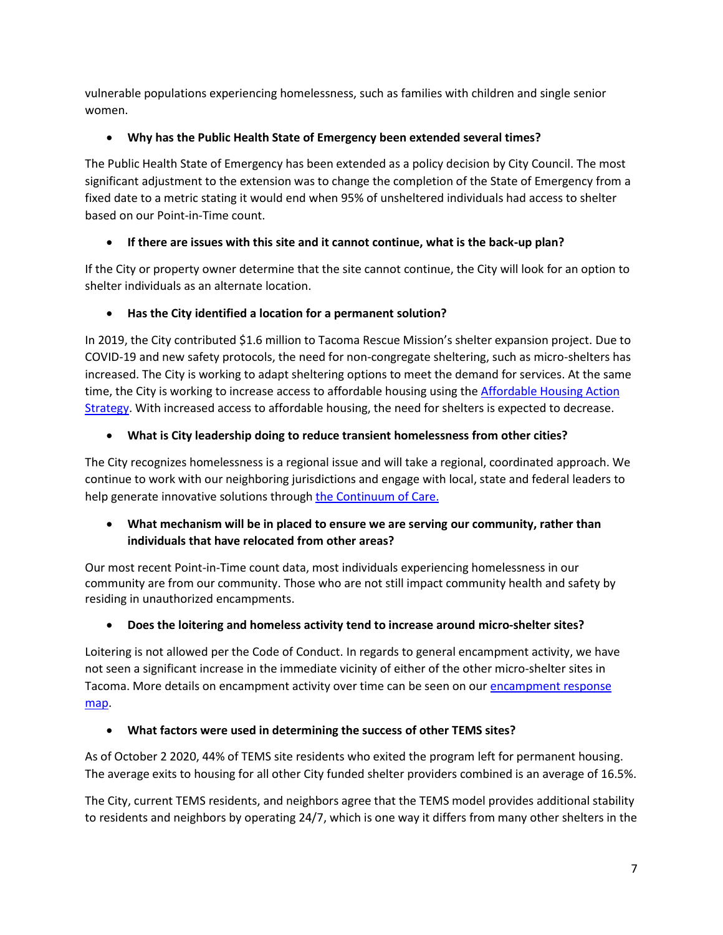vulnerable populations experiencing homelessness, such as families with children and single senior women.

## **Why has the Public Health State of Emergency been extended several times?**

The Public Health State of Emergency has been extended as a policy decision by City Council. The most significant adjustment to the extension was to change the completion of the State of Emergency from a fixed date to a metric stating it would end when 95% of unsheltered individuals had access to shelter based on our Point-in-Time count.

# **If there are issues with this site and it cannot continue, what is the back-up plan?**

If the City or property owner determine that the site cannot continue, the City will look for an option to shelter individuals as an alternate location.

## **Has the City identified a location for a permanent solution?**

In 2019, the City contributed \$1.6 million to Tacoma Rescue Mission's shelter expansion project. Due to COVID-19 and new safety protocols, the need for non-congregate sheltering, such as micro-shelters has increased. The City is working to adapt sheltering options to meet the demand for services. At the same time, the City is working to increase access to affordable housing using the [Affordable Housing Action](https://cms.cityoftacoma.org/cro/ahas/ahasfaq.pdf)  [Strategy.](https://cms.cityoftacoma.org/cro/ahas/ahasfaq.pdf) With increased access to affordable housing, the need for shelters is expected to decrease.

## **What is City leadership doing to reduce transient homelessness from other cities?**

The City recognizes homelessness is a regional issue and will take a regional, coordinated approach. We continue to work with our neighboring jurisdictions and engage with local, state and federal leaders to help generate innovative solutions throug[h the Continuum of Care.](https://www.co.pierce.wa.us/4825/Continuum-of-Care)

## **What mechanism will be in placed to ensure we are serving our community, rather than individuals that have relocated from other areas?**

Our most recent Point-in-Time count data, most individuals experiencing homelessness in our community are from our community. Those who are not still impact community health and safety by residing in unauthorized encampments.

#### **Does the loitering and homeless activity tend to increase around micro-shelter sites?**

Loitering is not allowed per the Code of Conduct. In regards to general encampment activity, we have not seen a significant increase in the immediate vicinity of either of the other micro-shelter sites in Tacoma. More details on encampment activity over time can be seen on our [encampment response](https://cityoftacoma.org/cms/One.aspx?portalId=169&pageId=153621)  [map.](https://cityoftacoma.org/cms/One.aspx?portalId=169&pageId=153621)

#### **What factors were used in determining the success of other TEMS sites?**

As of October 2 2020, 44% of TEMS site residents who exited the program left for permanent housing. The average exits to housing for all other City funded shelter providers combined is an average of 16.5%.

The City, current TEMS residents, and neighbors agree that the TEMS model provides additional stability to residents and neighbors by operating 24/7, which is one way it differs from many other shelters in the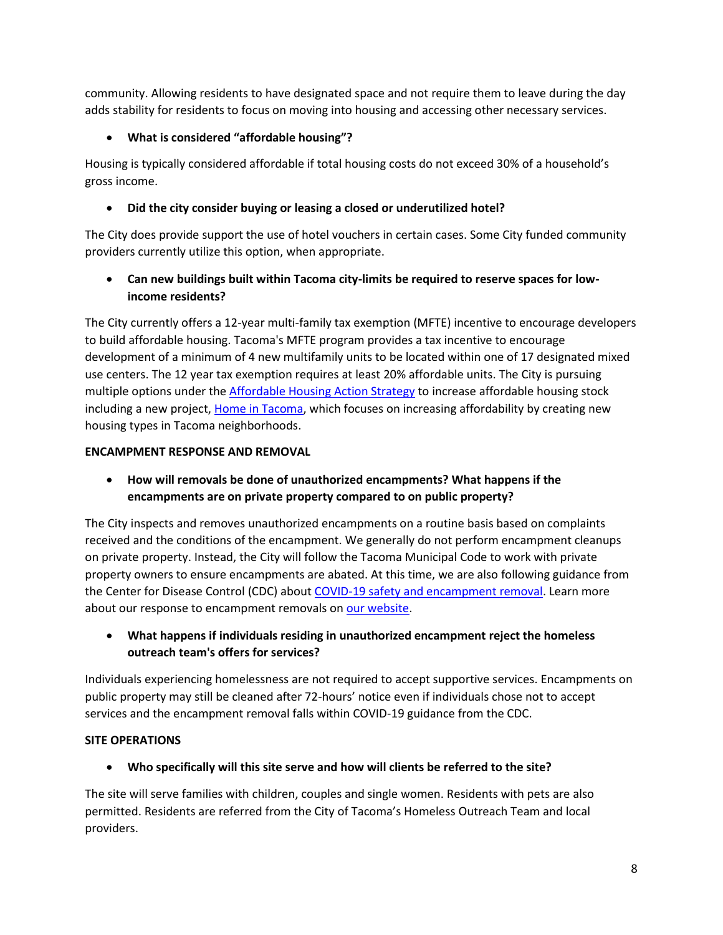community. Allowing residents to have designated space and not require them to leave during the day adds stability for residents to focus on moving into housing and accessing other necessary services.

## **What is considered "affordable housing"?**

Housing is typically considered affordable if total housing costs do not exceed 30% of a household's gross income.

## **Did the city consider buying or leasing a closed or underutilized hotel?**

The City does provide support the use of hotel vouchers in certain cases. Some City funded community providers currently utilize this option, when appropriate.

## **Can new buildings built within Tacoma city-limits be required to reserve spaces for lowincome residents?**

The City currently offers a 12-year multi-family tax exemption (MFTE) incentive to encourage developers to build affordable housing. Tacoma's MFTE program provides a tax incentive to encourage development of a minimum of 4 new multifamily units to be located within one of 17 designated mixed use centers. The 12 year tax exemption requires at least 20% affordable units. The City is pursuing multiple options under the [Affordable Housing Action Strategy](https://www.cityoftacoma.org/cms/One.aspx?portalId=169&pageId=148642) to increase affordable housing stock including a new project[, Home in Tacoma,](https://www.cityoftacoma.org/cms/one.aspx?pageId=180033) which focuses on increasing affordability by creating new housing types in Tacoma neighborhoods.

#### **ENCAMPMENT RESPONSE AND REMOVAL**

 **How will removals be done of unauthorized encampments? What happens if the encampments are on private property compared to on public property?**

The City inspects and removes unauthorized encampments on a routine basis based on complaints received and the conditions of the encampment. We generally do not perform encampment cleanups on private property. Instead, the City will follow the Tacoma Municipal Code to work with private property owners to ensure encampments are abated. At this time, we are also following guidance from the Center for Disease Control (CDC) abou[t COVID-19 safety and encampment removal.](https://www.cdc.gov/coronavirus/2019-ncov/community/homeless-shelters/unsheltered-homelessness.html#facility-encampments) Learn more about our response to encampment removals o[n our website.](https://www.cityoftacoma.org/cms/One.aspx?portalId=169&pageId=94667)

# **What happens if individuals residing in unauthorized encampment reject the homeless outreach team's offers for services?**

Individuals experiencing homelessness are not required to accept supportive services. Encampments on public property may still be cleaned after 72-hours' notice even if individuals chose not to accept services and the encampment removal falls within COVID-19 guidance from the CDC.

#### **SITE OPERATIONS**

**Who specifically will this site serve and how will clients be referred to the site?**

The site will serve families with children, couples and single women. Residents with pets are also permitted. Residents are referred from the City of Tacoma's Homeless Outreach Team and local providers.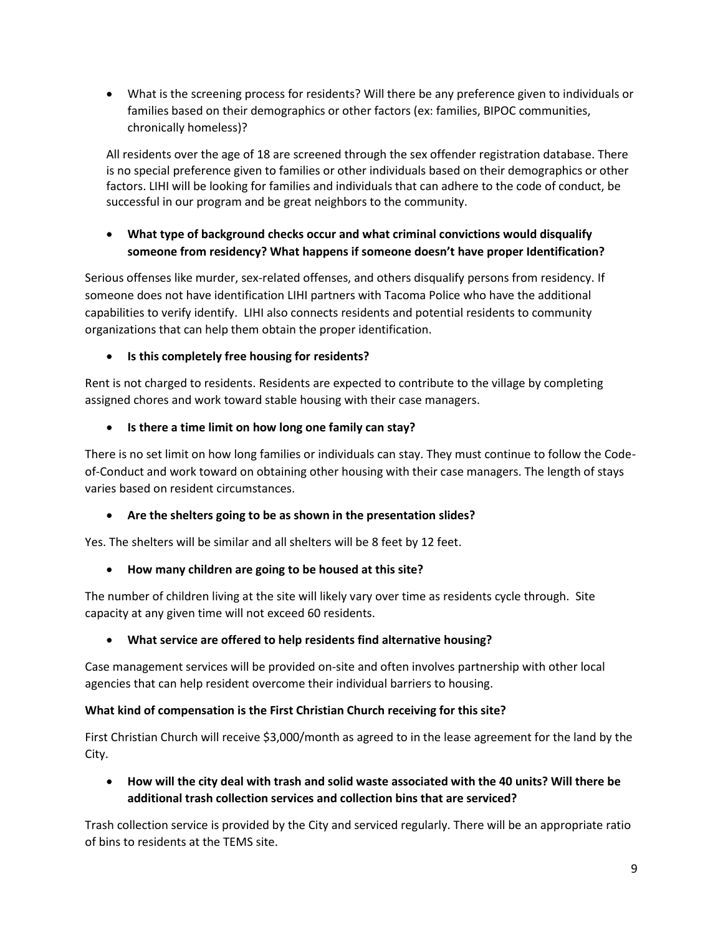What is the screening process for residents? Will there be any preference given to individuals or families based on their demographics or other factors (ex: families, BIPOC communities, chronically homeless)?

All residents over the age of 18 are screened through the sex offender registration database. There is no special preference given to families or other individuals based on their demographics or other factors. LIHI will be looking for families and individuals that can adhere to the code of conduct, be successful in our program and be great neighbors to the community.

## **What type of background checks occur and what criminal convictions would disqualify someone from residency? What happens if someone doesn't have proper Identification?**

Serious offenses like murder, sex-related offenses, and others disqualify persons from residency. If someone does not have identification LIHI partners with Tacoma Police who have the additional capabilities to verify identify. LIHI also connects residents and potential residents to community organizations that can help them obtain the proper identification.

## **Is this completely free housing for residents?**

Rent is not charged to residents. Residents are expected to contribute to the village by completing assigned chores and work toward stable housing with their case managers.

## **Is there a time limit on how long one family can stay?**

There is no set limit on how long families or individuals can stay. They must continue to follow the Codeof-Conduct and work toward on obtaining other housing with their case managers. The length of stays varies based on resident circumstances.

# **Are the shelters going to be as shown in the presentation slides?**

Yes. The shelters will be similar and all shelters will be 8 feet by 12 feet.

#### **How many children are going to be housed at this site?**

The number of children living at the site will likely vary over time as residents cycle through. Site capacity at any given time will not exceed 60 residents.

#### **What service are offered to help residents find alternative housing?**

Case management services will be provided on-site and often involves partnership with other local agencies that can help resident overcome their individual barriers to housing.

#### **What kind of compensation is the First Christian Church receiving for this site?**

First Christian Church will receive \$3,000/month as agreed to in the lease agreement for the land by the City.

 **How will the city deal with trash and solid waste associated with the 40 units? Will there be additional trash collection services and collection bins that are serviced?**

Trash collection service is provided by the City and serviced regularly. There will be an appropriate ratio of bins to residents at the TEMS site.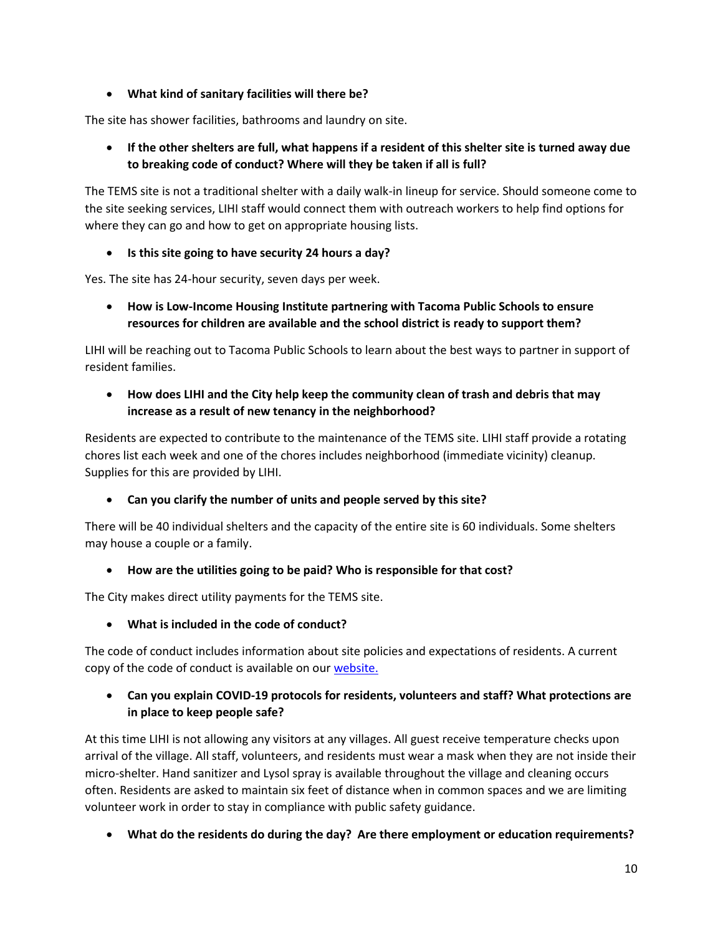## **What kind of sanitary facilities will there be?**

The site has shower facilities, bathrooms and laundry on site.

 **If the other shelters are full, what happens if a resident of this shelter site is turned away due to breaking code of conduct? Where will they be taken if all is full?** 

The TEMS site is not a traditional shelter with a daily walk-in lineup for service. Should someone come to the site seeking services, LIHI staff would connect them with outreach workers to help find options for where they can go and how to get on appropriate housing lists.

## **Is this site going to have security 24 hours a day?**

Yes. The site has 24-hour security, seven days per week.

 **How is Low-Income Housing Institute partnering with Tacoma Public Schools to ensure resources for children are available and the school district is ready to support them?** 

LIHI will be reaching out to Tacoma Public Schools to learn about the best ways to partner in support of resident families.

# **How does LIHI and the City help keep the community clean of trash and debris that may increase as a result of new tenancy in the neighborhood?**

Residents are expected to contribute to the maintenance of the TEMS site. LIHI staff provide a rotating chores list each week and one of the chores includes neighborhood (immediate vicinity) cleanup. Supplies for this are provided by LIHI.

# **Can you clarify the number of units and people served by this site?**

There will be 40 individual shelters and the capacity of the entire site is 60 individuals. Some shelters may house a couple or a family.

# **How are the utilities going to be paid? Who is responsible for that cost?**

The City makes direct utility payments for the TEMS site.

**What is included in the code of conduct?**

The code of conduct includes information about site policies and expectations of residents. A current copy of the code of conduct is available on ou[r website.](https://www.cityoftacoma.org/UserFiles/Servers/Server_6/File/cms/NCS/City%20Authorized%20Emergency%20Shelter%20Sites/TEMS-IntakeandCodeofConduct-COVIDupdate-2020-10-19.pdf)

## **Can you explain COVID-19 protocols for residents, volunteers and staff? What protections are in place to keep people safe?**

At this time LIHI is not allowing any visitors at any villages. All guest receive temperature checks upon arrival of the village. All staff, volunteers, and residents must wear a mask when they are not inside their micro-shelter. Hand sanitizer and Lysol spray is available throughout the village and cleaning occurs often. Residents are asked to maintain six feet of distance when in common spaces and we are limiting volunteer work in order to stay in compliance with public safety guidance.

**What do the residents do during the day? Are there employment or education requirements?**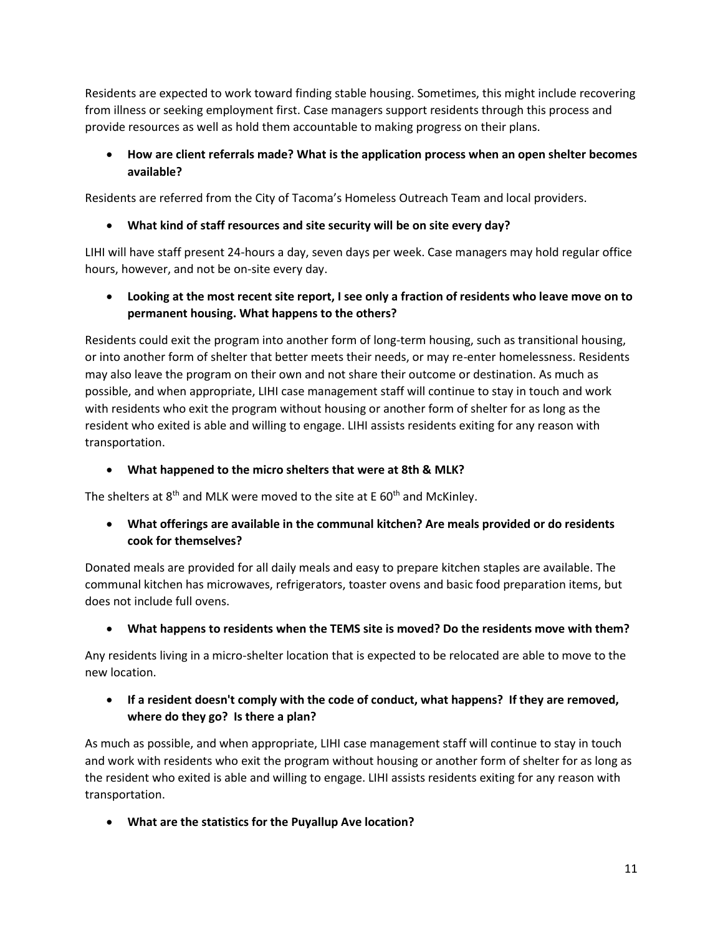Residents are expected to work toward finding stable housing. Sometimes, this might include recovering from illness or seeking employment first. Case managers support residents through this process and provide resources as well as hold them accountable to making progress on their plans.

# **How are client referrals made? What is the application process when an open shelter becomes available?**

Residents are referred from the City of Tacoma's Homeless Outreach Team and local providers.

# **What kind of staff resources and site security will be on site every day?**

LIHI will have staff present 24-hours a day, seven days per week. Case managers may hold regular office hours, however, and not be on-site every day.

 **Looking at the most recent site report, I see only a fraction of residents who leave move on to permanent housing. What happens to the others?**

Residents could exit the program into another form of long-term housing, such as transitional housing, or into another form of shelter that better meets their needs, or may re-enter homelessness. Residents may also leave the program on their own and not share their outcome or destination. As much as possible, and when appropriate, LIHI case management staff will continue to stay in touch and work with residents who exit the program without housing or another form of shelter for as long as the resident who exited is able and willing to engage. LIHI assists residents exiting for any reason with transportation.

# **What happened to the micro shelters that were at 8th & MLK?**

The shelters at  $8<sup>th</sup>$  and MLK were moved to the site at E 60<sup>th</sup> and McKinley.

 **What offerings are available in the communal kitchen? Are meals provided or do residents cook for themselves?**

Donated meals are provided for all daily meals and easy to prepare kitchen staples are available. The communal kitchen has microwaves, refrigerators, toaster ovens and basic food preparation items, but does not include full ovens.

# **What happens to residents when the TEMS site is moved? Do the residents move with them?**

Any residents living in a micro-shelter location that is expected to be relocated are able to move to the new location.

# **If a resident doesn't comply with the code of conduct, what happens? If they are removed, where do they go? Is there a plan?**

As much as possible, and when appropriate, LIHI case management staff will continue to stay in touch and work with residents who exit the program without housing or another form of shelter for as long as the resident who exited is able and willing to engage. LIHI assists residents exiting for any reason with transportation.

**What are the statistics for the Puyallup Ave location?**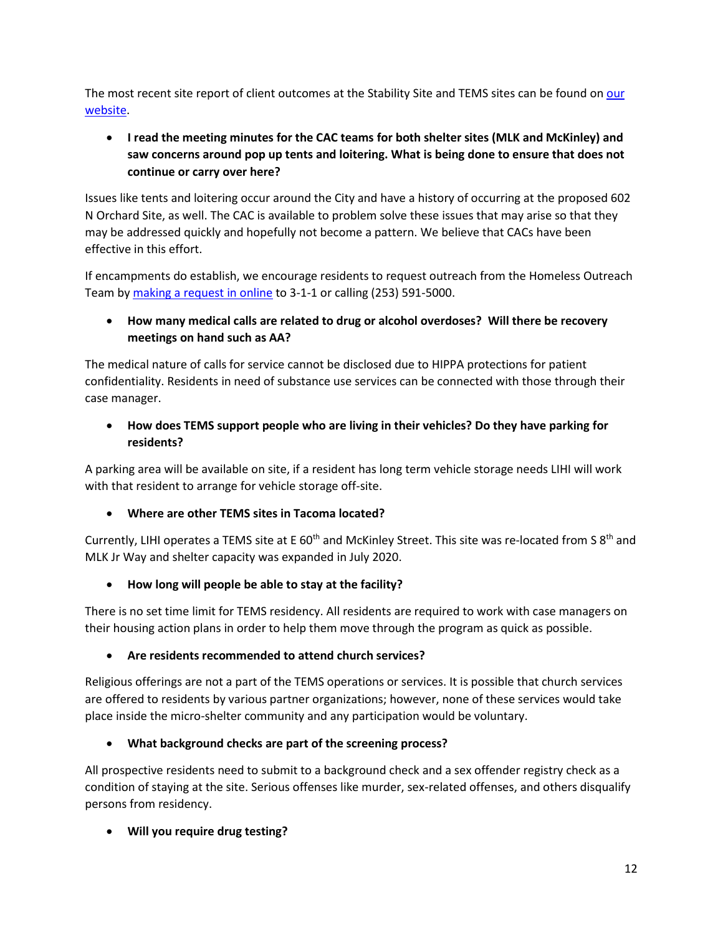The most recent site report of client outcomes at the Stability Site and TEMS sites can be found on [our](http://www.cityoftacoma.org/authorizedencampments)  [website.](http://www.cityoftacoma.org/authorizedencampments)

 **I read the meeting minutes for the CAC teams for both shelter sites (MLK and McKinley) and saw concerns around pop up tents and loitering. What is being done to ensure that does not continue or carry over here?**

Issues like tents and loitering occur around the City and have a history of occurring at the proposed 602 N Orchard Site, as well. The CAC is available to problem solve these issues that may arise so that they may be addressed quickly and hopefully not become a pattern. We believe that CACs have been effective in this effort.

If encampments do establish, we encourage residents to request outreach from the Homeless Outreach Team b[y making a request in online](https://cityoftacoma.org/cms/one.aspx?pageId=17887) to 3-1-1 or calling (253) 591-5000.

# **How many medical calls are related to drug or alcohol overdoses? Will there be recovery meetings on hand such as AA?**

The medical nature of calls for service cannot be disclosed due to HIPPA protections for patient confidentiality. Residents in need of substance use services can be connected with those through their case manager.

 **How does TEMS support people who are living in their vehicles? Do they have parking for residents?**

A parking area will be available on site, if a resident has long term vehicle storage needs LIHI will work with that resident to arrange for vehicle storage off-site.

**Where are other TEMS sites in Tacoma located?**

Currently, LIHI operates a TEMS site at E 60<sup>th</sup> and McKinley Street. This site was re-located from S 8<sup>th</sup> and MLK Jr Way and shelter capacity was expanded in July 2020.

**How long will people be able to stay at the facility?**

There is no set time limit for TEMS residency. All residents are required to work with case managers on their housing action plans in order to help them move through the program as quick as possible.

#### **Are residents recommended to attend church services?**

Religious offerings are not a part of the TEMS operations or services. It is possible that church services are offered to residents by various partner organizations; however, none of these services would take place inside the micro-shelter community and any participation would be voluntary.

#### **What background checks are part of the screening process?**

All prospective residents need to submit to a background check and a sex offender registry check as a condition of staying at the site. Serious offenses like murder, sex-related offenses, and others disqualify persons from residency.

**Will you require drug testing?**